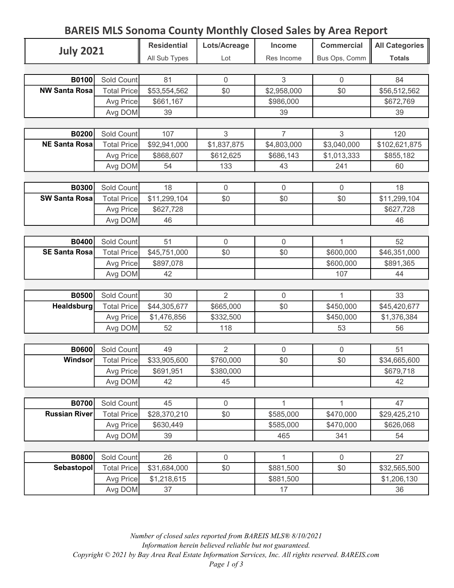## BAREIS MLS Sonoma County Monthly Closed Sales by Area Report

| <b>July 2021</b>                     |                    | <b>Residential</b> | Lots/Acreage        | <b>Income</b>    | <b>Commercial</b> | All Categories    |
|--------------------------------------|--------------------|--------------------|---------------------|------------------|-------------------|-------------------|
|                                      |                    | All Sub Types      | Lot                 | Res Income       | Bus Ops, Comm     | <b>Totals</b>     |
|                                      |                    |                    |                     |                  |                   |                   |
| B0100                                | Sold Count         | 81                 | $\overline{0}$      | 3                | $\Omega$          | 84                |
| <b>NW Santa Rosa</b>                 | <b>Total Price</b> | \$53,554,562       | \$0                 | \$2,958,000      | \$0               | \$56,512,562      |
|                                      | Avg Price          | \$661,167          |                     | \$986,000        |                   | \$672,769         |
|                                      | Avg DOM            | 39                 |                     | 39               |                   | 39                |
|                                      |                    |                    |                     |                  |                   |                   |
| <b>B0200</b>                         | Sold Count         | 107                | 3                   | $\overline{7}$   | 3                 | 120               |
| <b>NE Santa Rosa</b>                 | <b>Total Price</b> | \$92,941,000       | \$1,837,875         | \$4,803,000      | \$3,040,000       | \$102,621,875     |
|                                      | Avg Price          | \$868,607          | \$612,625           | \$686,143        | \$1,013,333       | \$855,182         |
|                                      | Avg DOM            | 54                 | 133                 | 43               | 241               | 60                |
|                                      |                    |                    |                     |                  |                   |                   |
| <b>B0300</b>                         | Sold Count         | 18                 | $\mathsf{O}\xspace$ | $\mathbf 0$      | $\overline{0}$    | 18                |
| <b>SW Santa Rosa</b>                 | <b>Total Price</b> | \$11,299,104       | \$0                 | \$0              | \$0               | \$11,299,104      |
|                                      | Avg Price          | \$627,728          |                     |                  |                   | \$627,728         |
|                                      | Avg DOM            | 46                 |                     |                  |                   | 46                |
|                                      |                    |                    |                     |                  |                   |                   |
| <b>B0400</b>                         | Sold Count         | 51                 | $\mathbf 0$         | $\mathbf 0$      | 1                 | 52                |
| <b>SE Santa Rosa</b>                 | <b>Total Price</b> | \$45,751,000       | \$0                 | \$0              | \$600,000         | \$46,351,000      |
|                                      | Avg Price          | \$897,078          |                     |                  | \$600,000         | \$891,365         |
|                                      | Avg DOM            | 42                 |                     |                  | 107               | 44                |
|                                      |                    |                    |                     |                  |                   |                   |
| <b>B0500</b>                         | Sold Count         | 30                 | $\overline{2}$      | $\mathbf 0$      | 1                 | 33                |
| Healdsburg                           | <b>Total Price</b> | \$44,305,677       | \$665,000           | \$0              | \$450,000         | \$45,420,677      |
|                                      | Avg Price          | \$1,476,856        | \$332,500           |                  | \$450,000         | \$1,376,384       |
|                                      | Avg DOM            | 52                 | 118                 |                  | 53                | 56                |
|                                      |                    |                    |                     |                  |                   |                   |
| <b>B0600</b>                         | Sold Count         | 49                 | $\overline{2}$      | $\mathbf 0$      | 0                 | 51                |
| <b>Windsor</b>                       | <b>Total Price</b> | \$33,905,600       | \$760,000           | \$0              | \$0               | \$34,665,600      |
|                                      | Avg Price          | \$691,951          | \$380,000           |                  |                   | \$679,718         |
|                                      | Avg DOM            | 42                 | 45                  |                  |                   | 42                |
|                                      |                    |                    |                     | 1                |                   |                   |
| <b>B0700</b><br><b>Russian River</b> | Sold Count         | 45                 | $\mathsf{O}\xspace$ |                  | 1                 | 47                |
|                                      | <b>Total Price</b> | \$28,370,210       | \$0                 | \$585,000        | \$470,000         | \$29,425,210      |
|                                      | Avg Price          | \$630,449<br>39    |                     | \$585,000<br>465 | \$470,000<br>341  | \$626,068<br>54   |
|                                      | Avg DOM            |                    |                     |                  |                   |                   |
| <b>B0800</b>                         | Sold Count         | 26                 | $\mathsf{O}\xspace$ | 1                | $\overline{0}$    | 27                |
| Sebastopol                           | <b>Total Price</b> | \$31,684,000       | \$0                 | \$881,500        | \$0               | \$32,565,500      |
|                                      |                    |                    |                     |                  |                   |                   |
|                                      | Avg Price          | \$1,218,615<br>37  |                     | \$881,500        |                   | \$1,206,130<br>36 |
|                                      | Avg DOM            |                    |                     | 17               |                   |                   |

Number of closed sales reported from BAREIS MLS® 8/10/2021 Information herein believed reliable but not guaranteed. Copyright © 2021 by Bay Area Real Estate Information Services, Inc. All rights reserved. BAREIS.com Page 1 of 3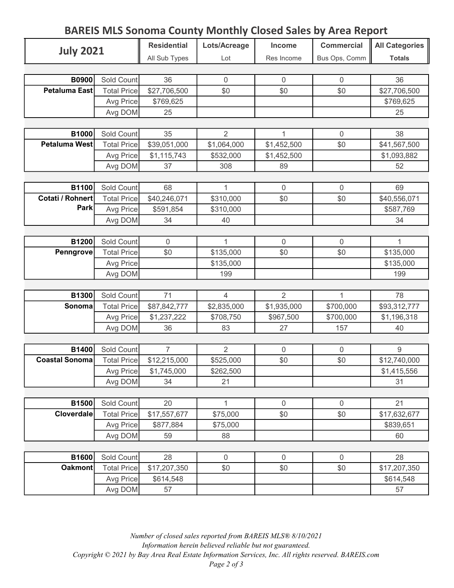## BAREIS MLS Sonoma County Monthly Closed Sales by Area Report

| <b>July 2021</b>               |                    | <b>Residential</b> | Lots/Acreage    | <b>Income</b>  | <b>Commercial</b> | All Categories    |
|--------------------------------|--------------------|--------------------|-----------------|----------------|-------------------|-------------------|
|                                |                    | All Sub Types      | Lot             | Res Income     | Bus Ops, Comm     | <b>Totals</b>     |
|                                |                    |                    |                 |                |                   |                   |
| <b>B0900</b>                   | Sold Count         | 36                 | $\overline{0}$  | $\overline{0}$ | $\Omega$          | 36                |
| Petaluma East                  | <b>Total Price</b> | \$27,706,500       | \$0             | \$0            | \$0               | \$27,706,500      |
|                                | Avg Price          | \$769,625          |                 |                |                   | \$769,625         |
|                                | Avg DOM            | 25                 |                 |                |                   | 25                |
|                                |                    |                    |                 |                |                   |                   |
| B1000                          | Sold Count         | 35                 | $\overline{2}$  | 1              | $\overline{0}$    | 38                |
| Petaluma West                  | <b>Total Price</b> | \$39,051,000       | \$1,064,000     | \$1,452,500    | \$0               | \$41,567,500      |
|                                | Avg Price          | \$1,115,743        | \$532,000       | \$1,452,500    |                   | \$1,093,882       |
|                                | Avg DOM            | 37                 | 308             | 89             |                   | 52                |
|                                |                    |                    |                 |                |                   |                   |
| B1100                          | Sold Count         | 68                 | 1               | $\overline{0}$ | $\mathbf 0$       | 69                |
| Cotati / Rohnert               | <b>Total Price</b> | \$40,246,071       | \$310,000       | \$0            | \$0               | \$40,556,071      |
| Park                           | Avg Price          | \$591,854          | \$310,000       |                |                   | \$587,769         |
|                                | Avg DOM            | 34                 | 40              |                |                   | 34                |
|                                |                    |                    |                 |                |                   |                   |
| B1200                          | Sold Count         | 0                  | 1               | $\overline{0}$ | $\mathbf 0$       | 1                 |
| Penngrove                      | <b>Total Price</b> | \$0                | \$135,000       | \$0            | \$0               | \$135,000         |
|                                | Avg Price          |                    | \$135,000       |                |                   | \$135,000         |
|                                | Avg DOM            |                    | 199             |                |                   | 199               |
|                                |                    |                    |                 |                |                   |                   |
| B1300                          | Sold Count         | 71                 | $\overline{4}$  | 2              | 1                 | 78                |
| Sonoma                         | <b>Total Price</b> | \$87,842,777       | \$2,835,000     | \$1,935,000    | \$700,000         | \$93,312,777      |
|                                | Avg Price          | \$1,237,222        | \$708,750       | \$967,500      | \$700,000         | \$1,196,318       |
|                                | Avg DOM            | 36                 | 83              | 27             | 157               | 40                |
|                                |                    |                    |                 |                |                   |                   |
| B1400<br><b>Coastal Sonoma</b> | Sold Count         | $\overline{7}$     | $\overline{2}$  | $\mathbf 0$    | $\mathbf 0$       | 9                 |
|                                | <b>Total Price</b> | \$12,215,000       | \$525,000       | \$0            | \$0               | \$12,740,000      |
|                                | Avg Price          | \$1,745,000<br>34  | \$262,500<br>21 |                |                   | \$1,415,556<br>31 |
|                                | Avg DOM            |                    |                 |                |                   |                   |
| B1500                          | Sold Count         | 20                 | 1               | $\mathbf 0$    | $\mathbf 0$       | 21                |
| <b>Cloverdale</b>              | <b>Total Price</b> | \$17,557,677       | \$75,000        | \$0            | \$0               | \$17,632,677      |
|                                | Avg Price          | \$877,884          | \$75,000        |                |                   | \$839,651         |
|                                | Avg DOM            | 59                 | 88              |                |                   | 60                |
|                                |                    |                    |                 |                |                   |                   |
| <b>B1600</b>                   | Sold Count         | 28                 | $\mathsf 0$     | $\mathbf 0$    | $\mathbf 0$       | 28                |
| <b>Oakmont</b>                 | <b>Total Price</b> | \$17,207,350       | \$0             | \$0            | \$0               | \$17,207,350      |
|                                | Avg Price          | \$614,548          |                 |                |                   | \$614,548         |
|                                | Avg DOM            | 57                 |                 |                |                   | 57                |
|                                |                    |                    |                 |                |                   |                   |

Number of closed sales reported from BAREIS MLS® 8/10/2021 Information herein believed reliable but not guaranteed. Copyright © 2021 by Bay Area Real Estate Information Services, Inc. All rights reserved. BAREIS.com Page 2 of 3